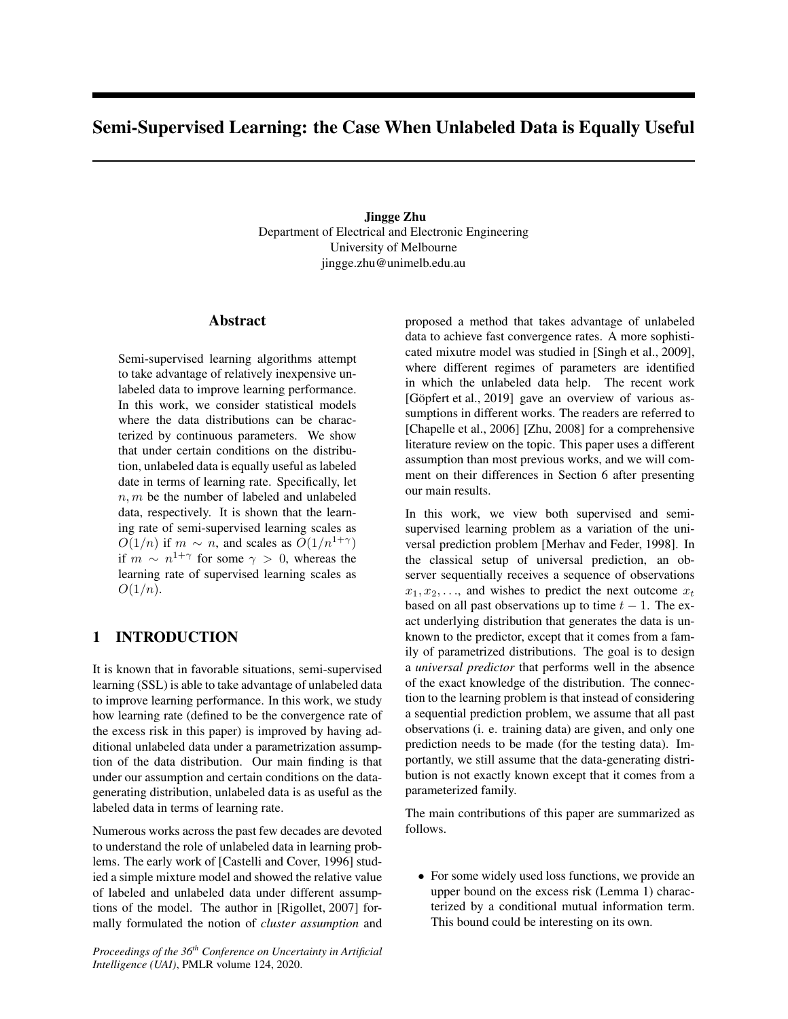# Semi-Supervised Learning: the Case When Unlabeled Data is Equally Useful

Jingge Zhu Department of Electrical and Electronic Engineering University of Melbourne jingge.zhu@unimelb.edu.au

### Abstract

Semi-supervised learning algorithms attempt to take advantage of relatively inexpensive unlabeled data to improve learning performance. In this work, we consider statistical models where the data distributions can be characterized by continuous parameters. We show that under certain conditions on the distribution, unlabeled data is equally useful as labeled date in terms of learning rate. Specifically, let  $n, m$  be the number of labeled and unlabeled data, respectively. It is shown that the learning rate of semi-supervised learning scales as  $O(1/n)$  if  $m \sim n$ , and scales as  $O(1/n^{1+\gamma})$ if  $m \sim n^{1+\gamma}$  for some  $\gamma > 0$ , whereas the learning rate of supervised learning scales as  $O(1/n)$ .

## 1 INTRODUCTION

It is known that in favorable situations, semi-supervised learning (SSL) is able to take advantage of unlabeled data to improve learning performance. In this work, we study how learning rate (defined to be the convergence rate of the excess risk in this paper) is improved by having additional unlabeled data under a parametrization assumption of the data distribution. Our main finding is that under our assumption and certain conditions on the datagenerating distribution, unlabeled data is as useful as the labeled data in terms of learning rate.

Numerous works across the past few decades are devoted to understand the role of unlabeled data in learning problems. The early work of [Castelli and Cover, 1996] studied a simple mixture model and showed the relative value of labeled and unlabeled data under different assumptions of the model. The author in [Rigollet, 2007] formally formulated the notion of *cluster assumption* and

*Proceedings of the 36th Conference on Uncertainty in Artificial Intelligence (UAI)*, PMLR volume 124, 2020.

proposed a method that takes advantage of unlabeled data to achieve fast convergence rates. A more sophisticated mixutre model was studied in [Singh et al., 2009], where different regimes of parameters are identified in which the unlabeled data help. The recent work [Göpfert et al., 2019] gave an overview of various assumptions in different works. The readers are referred to [Chapelle et al., 2006] [Zhu, 2008] for a comprehensive literature review on the topic. This paper uses a different assumption than most previous works, and we will comment on their differences in Section 6 after presenting our main results.

In this work, we view both supervised and semisupervised learning problem as a variation of the universal prediction problem [Merhav and Feder, 1998]. In the classical setup of universal prediction, an observer sequentially receives a sequence of observations  $x_1, x_2, \ldots$ , and wishes to predict the next outcome  $x_t$ based on all past observations up to time  $t - 1$ . The exact underlying distribution that generates the data is unknown to the predictor, except that it comes from a family of parametrized distributions. The goal is to design a *universal predictor* that performs well in the absence of the exact knowledge of the distribution. The connection to the learning problem is that instead of considering a sequential prediction problem, we assume that all past observations (i. e. training data) are given, and only one prediction needs to be made (for the testing data). Importantly, we still assume that the data-generating distribution is not exactly known except that it comes from a parameterized family.

The main contributions of this paper are summarized as follows.

• For some widely used loss functions, we provide an upper bound on the excess risk (Lemma 1) characterized by a conditional mutual information term. This bound could be interesting on its own.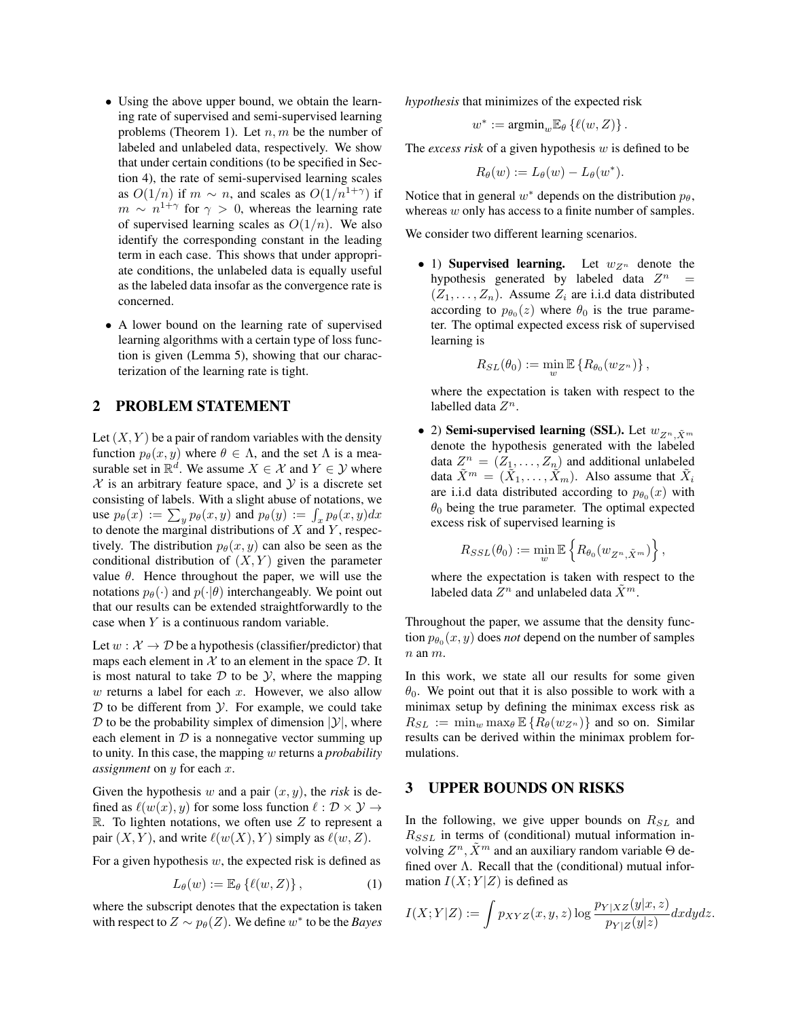- Using the above upper bound, we obtain the learning rate of supervised and semi-supervised learning problems (Theorem 1). Let  $n, m$  be the number of labeled and unlabeled data, respectively. We show that under certain conditions (to be specified in Section 4), the rate of semi-supervised learning scales as  $O(1/n)$  if  $m \sim n$ , and scales as  $O(1/n^{1+\gamma})$  if  $m \sim n^{1+\gamma}$  for  $\gamma > 0$ , whereas the learning rate of supervised learning scales as  $O(1/n)$ . We also identify the corresponding constant in the leading term in each case. This shows that under appropriate conditions, the unlabeled data is equally useful as the labeled data insofar as the convergence rate is concerned.
- A lower bound on the learning rate of supervised learning algorithms with a certain type of loss function is given (Lemma 5), showing that our characterization of the learning rate is tight.

### 2 PROBLEM STATEMENT

Let  $(X, Y)$  be a pair of random variables with the density function  $p_{\theta}(x, y)$  where  $\theta \in \Lambda$ , and the set  $\Lambda$  is a measurable set in  $\mathbb{R}^d$ . We assume  $X \in \mathcal{X}$  and  $Y \in \mathcal{Y}$  where  $X$  is an arbitrary feature space, and  $Y$  is a discrete set consisting of labels. With a slight abuse of notations, we use  $p_{\theta}(x) := \sum_{y} p_{\theta}(x, y)$  and  $p_{\theta}(y) := \int_{x} p_{\theta}(x, y) dx$ to denote the marginal distributions of  $X$  and  $Y$ , respectively. The distribution  $p_{\theta}(x, y)$  can also be seen as the conditional distribution of  $(X, Y)$  given the parameter value *θ*. Hence throughout the paper, we will use the notations  $p_{\theta}(\cdot)$  and  $p(\cdot|\theta)$  interchangeably. We point out that our results can be extended straightforwardly to the case when Y is a continuous random variable.

Let  $w : \mathcal{X} \to \mathcal{D}$  be a hypothesis (classifier/predictor) that maps each element in  $X$  to an element in the space  $D$ . It is most natural to take  $D$  to be  $Y$ , where the mapping  $w$  returns a label for each  $x$ . However, we also allow  $D$  to be different from  $Y$ . For example, we could take  $D$  to be the probability simplex of dimension  $|Y|$ , where each element in  $D$  is a nonnegative vector summing up to unity. In this case, the mapping w returns a *probability assignment* on y for each x.

Given the hypothesis w and a pair  $(x, y)$ , the *risk* is defined as  $\ell(w(x), y)$  for some loss function  $\ell : \mathcal{D} \times \mathcal{Y} \to$ R. To lighten notations, we often use  $Z$  to represent a pair  $(X, Y)$ , and write  $\ell(w(X), Y)$  simply as  $\ell(w, Z)$ .

For a given hypothesis  $w$ , the expected risk is defined as

$$
L_{\theta}(w) := \mathbb{E}_{\theta}\left\{\ell(w, Z)\right\},\tag{1}
$$

where the subscript denotes that the expectation is taken with respect to  $Z \sim p_{\theta}(Z)$ . We define  $w^*$  to be the *Bayes* 

*hypothesis* that minimizes of the expected risk

$$
w^* := \mathrm{argmin}_w \mathbb{E}_{\theta} \left\{ \ell(w, Z) \right\}.
$$

The *excess risk* of a given hypothesis w is defined to be

$$
R_{\theta}(w) := L_{\theta}(w) - L_{\theta}(w^*).
$$

Notice that in general  $w^*$  depends on the distribution  $p_\theta$ , whereas w only has access to a finite number of samples.

We consider two different learning scenarios.

• 1) Supervised learning. Let  $w_{Z^n}$  denote the hypothesis generated by labeled data  $Z^n$  =  $(Z_1, \ldots, Z_n)$ . Assume  $Z_i$  are i.i.d data distributed according to  $p_{\theta_0}(z)$  where  $\theta_0$  is the true parameter. The optimal expected excess risk of supervised learning is

$$
R_{SL}(\theta_0) := \min_w \mathbb{E} \left\{ R_{\theta_0}(w_{Z^n}) \right\},\,
$$

where the expectation is taken with respect to the labelled data  $Z^n$ .

2) Semi-supervised learning (SSL). Let  $w_{Z^n, \tilde{X}^m}$ denote the hypothesis generated with the labeled data  $Z^n = (Z_1, \ldots, Z_n)$  and additional unlabeled data  $\tilde{X}^m = (\tilde{X}_1, \ldots, \tilde{X}_m)$ . Also assume that  $\tilde{X}_i$ are i.i.d data distributed according to  $p_{\theta_0}(x)$  with  $\theta_0$  being the true parameter. The optimal expected excess risk of supervised learning is

$$
R_{SSL}(\theta_0) := \min_{w} \mathbb{E} \left\{ R_{\theta_0}(w_{Z^n, \tilde{X}^m}) \right\},
$$

where the expectation is taken with respect to the labeled data  $Z^n$  and unlabeled data  $\tilde{X}^m$ .

Throughout the paper, we assume that the density function  $p_{\theta_0}(x, y)$  does *not* depend on the number of samples  $n$  an  $m$ .

In this work, we state all our results for some given  $\theta_0$ . We point out that it is also possible to work with a minimax setup by defining the minimax excess risk as  $R_{SL} := \min_{w} \max_{\theta} \mathbb{E} \{ R_{\theta}(w_{Z^n}) \}$  and so on. Similar results can be derived within the minimax problem formulations.

### 3 UPPER BOUNDS ON RISKS

In the following, we give upper bounds on  $R_{SL}$  and  $R_{SSL}$  in terms of (conditional) mutual information involving  $Z^n$ ,  $\tilde{X}^m$  and an auxiliary random variable  $\Theta$  defined over  $\Lambda$ . Recall that the (conditional) mutual information  $I(X; Y|Z)$  is defined as

$$
I(X;Y|Z) := \int p_{XYZ}(x,y,z) \log \frac{p_{Y|XZ}(y|x,z)}{p_{Y|Z}(y|z)} dx dy dz.
$$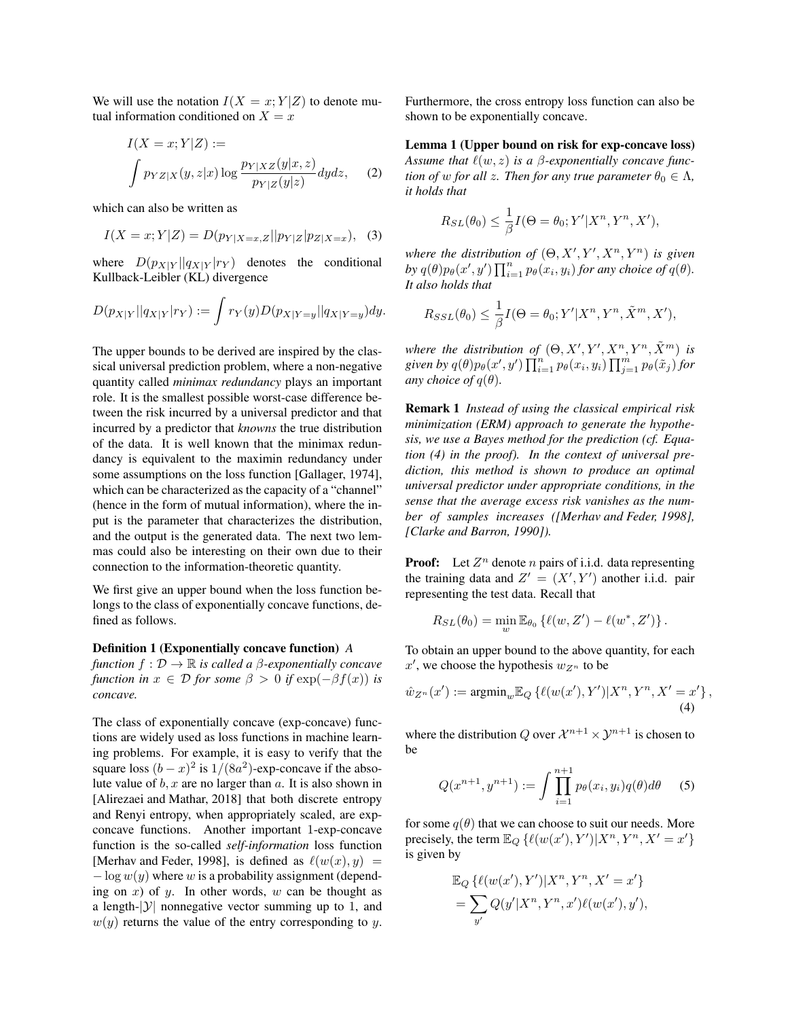We will use the notation  $I(X = x; Y|Z)$  to denote mutual information conditioned on  $X = x$ 

$$
I(X = x; Y|Z) :=
$$
  

$$
\int p_{YZ|X}(y, z|x) \log \frac{p_{Y|XZ}(y|x, z)}{p_{Y|Z}(y|z)} dydz,
$$
 (2)

which can also be written as

$$
I(X = x; Y|Z) = D(p_{Y|X=x,Z}||p_{Y|Z}|p_{Z|X=x}), \quad (3)
$$

where  $D(p_{X|Y} || q_{X|Y} || r_Y)$  denotes the conditional Kullback-Leibler (KL) divergence

$$
D(p_{X|Y}||q_{X|Y}|r_Y) := \int r_Y(y)D(p_{X|Y=y}||q_{X|Y=y})dy.
$$

The upper bounds to be derived are inspired by the classical universal prediction problem, where a non-negative quantity called *minimax redundancy* plays an important role. It is the smallest possible worst-case difference between the risk incurred by a universal predictor and that incurred by a predictor that *knowns* the true distribution of the data. It is well known that the minimax redundancy is equivalent to the maximin redundancy under some assumptions on the loss function [Gallager, 1974], which can be characterized as the capacity of a "channel" (hence in the form of mutual information), where the input is the parameter that characterizes the distribution, and the output is the generated data. The next two lemmas could also be interesting on their own due to their connection to the information-theoretic quantity.

We first give an upper bound when the loss function belongs to the class of exponentially concave functions, defined as follows.

#### Definition 1 (Exponentially concave function) *A*

*function*  $f : \mathcal{D} \to \mathbb{R}$  *is called a*  $\beta$ *-exponentially concave function in*  $x \in \mathcal{D}$  *for some*  $\beta > 0$  *if*  $\exp(-\beta f(x))$  *is concave.*

The class of exponentially concave (exp-concave) functions are widely used as loss functions in machine learning problems. For example, it is easy to verify that the square loss  $(b-x)^2$  is  $1/(8a^2)$ -exp-concave if the absolute value of  $b, x$  are no larger than  $a$ . It is also shown in [Alirezaei and Mathar, 2018] that both discrete entropy and Renyi entropy, when appropriately scaled, are expconcave functions. Another important 1-exp-concave function is the so-called *self-information* loss function [Merhav and Feder, 1998], is defined as  $\ell(w(x), y)$  =  $-\log w(y)$  where w is a probability assignment (depending on  $x$ ) of  $y$ . In other words,  $w$  can be thought as a length- $|\mathcal{Y}|$  nonnegative vector summing up to 1, and  $w(y)$  returns the value of the entry corresponding to y. Furthermore, the cross entropy loss function can also be shown to be exponentially concave.

Lemma 1 (Upper bound on risk for exp-concave loss) *Assume that*  $\ell(w, z)$  *is a*  $\beta$ *-exponentially concave function of* w *for all* z. Then *for any true parameter*  $\theta_0 \in \Lambda$ , *it holds that*

$$
R_{SL}(\theta_0) \leq \frac{1}{\beta} I(\Theta = \theta_0; Y'|X^n, Y^n, X'),
$$

where the distribution of  $(\Theta, X', Y', X^n, Y^n)$  is given by  $q(\theta)p_{\theta}(x', y')$   $\prod_{i=1}^{n} p_{\theta}(x_i, y_i)$  *for any choice of*  $q(\theta)$ *. It also holds that*

$$
R_{SSL}(\theta_0) \leq \frac{1}{\beta} I(\Theta = \theta_0; Y'|X^n, Y^n, \tilde{X}^m, X'),
$$

where the distribution of  $(\Theta, X', Y', X^n, Y^n, \tilde{X}^m)$  is  $g$ iven by  $q(\theta)p_{\theta}(x',y')\prod_{i=1}^n p_{\theta}(x_i,y_i)\prod_{j=1}^m p_{\theta}(\tilde{x}_j)$  for *any choice of*  $q(\theta)$ *.* 

Remark 1 *Instead of using the classical empirical risk minimization (ERM) approach to generate the hypothesis, we use a Bayes method for the prediction (cf. Equation (4) in the proof). In the context of universal prediction, this method is shown to produce an optimal universal predictor under appropriate conditions, in the sense that the average excess risk vanishes as the number of samples increases ([Merhav and Feder, 1998], [Clarke and Barron, 1990]).*

**Proof:** Let  $Z^n$  denote *n* pairs of i.i.d. data representing the training data and  $Z' = (X', Y')$  another i.i.d. pair representing the test data. Recall that

$$
R_{SL}(\theta_0) = \min_{w} \mathbb{E}_{\theta_0} \left\{ \ell(w, Z') - \ell(w^*, Z') \right\}.
$$

To obtain an upper bound to the above quantity, for each  $x'$ , we choose the hypothesis  $w_{Z^n}$  to be

$$
\hat{w}_{Z^n}(x') := \operatorname{argmin}_{w} \mathbb{E}_Q \left\{ \ell(w(x'), Y') | X^n, Y^n, X' = x' \right\},\tag{4}
$$

where the distribution Q over  $\mathcal{X}^{n+1} \times \mathcal{Y}^{n+1}$  is chosen to be

$$
Q(x^{n+1}, y^{n+1}) := \int \prod_{i=1}^{n+1} p_{\theta}(x_i, y_i) q(\theta) d\theta
$$
 (5)

for some  $q(\theta)$  that we can choose to suit our needs. More precisely, the term  $\mathbb{E}_Q \left\{ \ell(w(x'), Y') | X^n, Y^n, X' = x' \right\}$ is given by

$$
\mathbb{E}_{Q} \left\{ \ell(w(x'), Y') | X^{n}, Y^{n}, X' = x' \right\}
$$
  
= 
$$
\sum_{y'} Q(y' | X^{n}, Y^{n}, x') \ell(w(x'), y'),
$$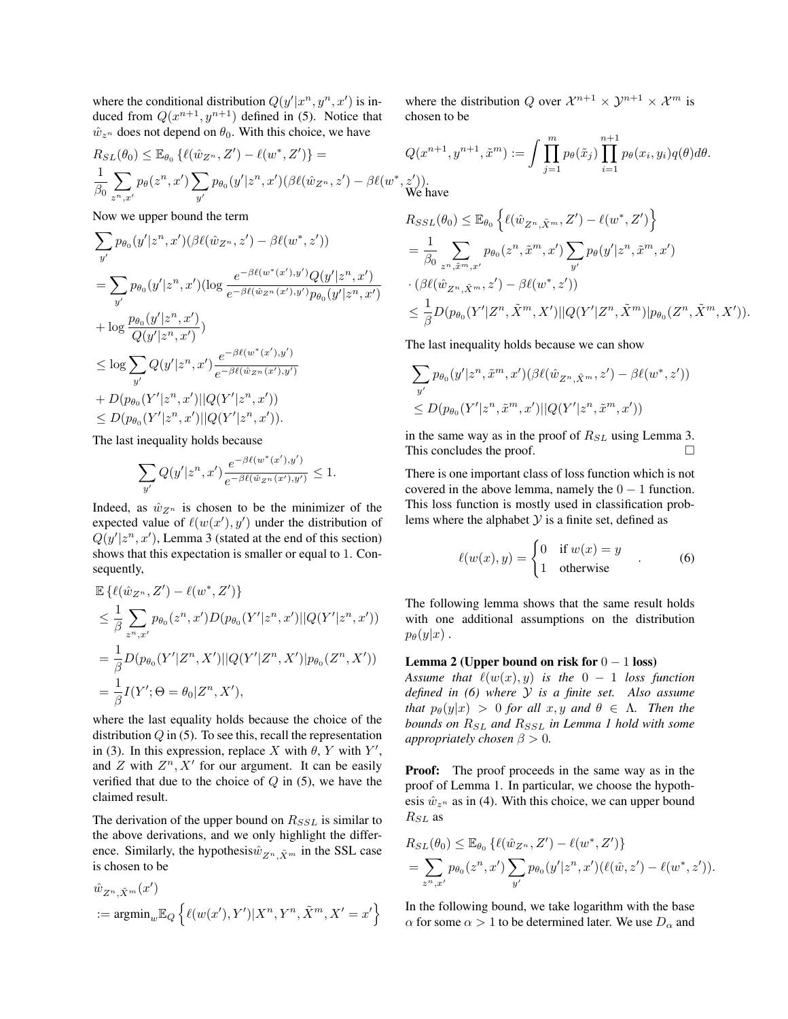where the conditional distribution  $Q(y'|x^n, y^n, x')$  is induced from  $Q(x^{n+1}, y^{n+1})$  defined in (5). Notice that  $\hat{w}_{z^n}$  does not depend on  $\theta_0$ . With this choice, we have

$$
R_{SL}(\theta_0) \leq \mathbb{E}_{\theta_0} \left\{ \ell(\hat{w}_{Z^n}, Z') - \ell(w^*, Z') \right\} = Q
$$
  

$$
\frac{1}{\beta_0} \sum_{z^n, x'} p_{\theta}(z^n, x') \sum_{y'} p_{\theta_0}(y'|z^n, x') (\beta \ell(\hat{w}_{Z^n}, z') - \beta \ell(w^*, z')
$$

Now we upper bound the term

$$
\sum_{y'} p_{\theta_0}(y'|z^n, x')(\beta \ell(\hat{w}_{Z^n}, z') - \beta \ell(w^*, z'))
$$
\n
$$
= \sum_{y'} p_{\theta_0}(y'|z^n, x')(\log \frac{e^{-\beta \ell(w^*(x'), y')}Q(y'|z^n, x')}{e^{-\beta \ell(\hat{w}_{Z^n}(x'), y')}p_{\theta_0}(y'|z^n, x')}
$$
\n
$$
+ \log \frac{p_{\theta_0}(y'|z^n, x')}{Q(y'|z^n, x')})
$$
\n
$$
\leq \log \sum_{y'} Q(y'|z^n, x') \frac{e^{-\beta \ell(w^*(x'), y')}}{e^{-\beta \ell(\hat{w}_{Z^n}(x'), y')}}
$$
\n
$$
+ D(p_{\theta_0}(Y'|z^n, x')||Q(Y'|z^n, x'))
$$
\n
$$
\leq D(p_{\theta_0}(Y'|z^n, x')||Q(Y'|z^n, x')).
$$

The last inequality holds because

$$
\sum_{y'} Q(y'|z^n, x') \frac{e^{-\beta \ell(w^*(x'), y')}}{e^{-\beta \ell(\hat{w}_{Z^n}(x'), y')}} \le 1.
$$

Indeed, as  $\hat{w}_{Z^n}$  is chosen to be the minimizer of the expected value of  $\ell(w(x'), y')$  under the distribution of  $Q(y'|z^n, x')$ , Lemma 3 (stated at the end of this section) shows that this expectation is smaller or equal to 1. Consequently,

$$
\mathbb{E}\left\{\ell(\hat{w}_{Z^n}, Z') - \ell(w^*, Z')\right\}
$$
\n
$$
\leq \frac{1}{\beta} \sum_{z^n, x'} p_{\theta_0}(z^n, x') D(p_{\theta_0}(Y'|z^n, x')||Q(Y'|z^n, x'))
$$
\n
$$
= \frac{1}{\beta} D(p_{\theta_0}(Y'|Z^n, X')||Q(Y'|Z^n, X')|p_{\theta_0}(Z^n, X'))
$$
\n
$$
= \frac{1}{\beta} I(Y'; \Theta = \theta_0 | Z^n, X'),
$$

where the last equality holds because the choice of the distribution  $Q$  in (5). To see this, recall the representation in (3). In this expression, replace X with  $\theta$ , Y with Y', and  $Z$  with  $Z^n$ ,  $X'$  for our argument. It can be easily verified that due to the choice of  $Q$  in (5), we have the claimed result.

The derivation of the upper bound on  $R_{SSL}$  is similar to the above derivations, and we only highlight the difference. Similarly, the hypothesis $\hat{w}_{Z^n, \tilde{X}^m}$  in the SSL case is chosen to be

$$
\hat{w}_{Z^n, \tilde{X}^m}(x')
$$
  
 := argmin<sub>w</sub>  $\mathbb{E}_Q \left\{ \ell(w(x'), Y') | X^n, Y^n, \tilde{X}^m, X' = x' \right\}$ 

where the distribution Q over  $\mathcal{X}^{n+1} \times \mathcal{Y}^{n+1} \times \mathcal{X}^m$  is chosen to be

$$
Q(x^{n+1}, y^{n+1}, \tilde{x}^m) := \int \prod_{j=1}^m p_{\theta}(\tilde{x}_j) \prod_{i=1}^{n+1} p_{\theta}(x_i, y_i) q(\theta) d\theta.
$$
  

$$
\tilde{z}')
$$
.

We have

$$
R_{SSL}(\theta_0) \leq \mathbb{E}_{\theta_0} \left\{ \ell(\hat{w}_{Z^n, \tilde{X}^m}, Z') - \ell(w^*, Z') \right\}
$$
  
=  $\frac{1}{\beta_0} \sum_{z^n, \tilde{x}^m, x'} p_{\theta_0}(z^n, \tilde{x}^m, x') \sum_{y'} p_{\theta}(y'|z^n, \tilde{x}^m, x')$   
 $\cdot (\beta \ell(\hat{w}_{Z^n, \tilde{X}^m}, z') - \beta \ell(w^*, z'))$   
 $\leq \frac{1}{\beta} D(p_{\theta_0}(Y'|Z^n, \tilde{X}^m, X') || Q(Y'|Z^n, \tilde{X}^m) | p_{\theta_0}(Z^n, \tilde{X}^m, X')).$ 

The last inequality holds because we can show

$$
\sum_{y'} p_{\theta_0}(y'|z^n, \tilde{x}^m, x')(\beta \ell(\hat{w}_{Z^n, \tilde{X}^m}, z') - \beta \ell(w^*, z'))
$$
  

$$
\leq D(p_{\theta_0}(Y'|z^n, \tilde{x}^m, x')||Q(Y'|z^n, \tilde{x}^m, x'))
$$

in the same way as in the proof of  $R_{SL}$  using Lemma 3. This concludes the proof.

There is one important class of loss function which is not covered in the above lemma, namely the  $0 - 1$  function. This loss function is mostly used in classification problems where the alphabet  $Y$  is a finite set, defined as

$$
\ell(w(x), y) = \begin{cases} 0 & \text{if } w(x) = y \\ 1 & \text{otherwise} \end{cases}
$$
 (6)

The following lemma shows that the same result holds with one additional assumptions on the distribution  $p_{\theta}(y|x)$ .

#### Lemma 2 (Upper bound on risk for  $0 - 1$  loss)

*Assume that*  $\ell(w(x), y)$  *is the*  $0 - 1$  *loss function defined in (6) where* Y *is a finite set. Also assume that*  $p_{\theta}(y|x) > 0$  *for all*  $x, y$  *and*  $\theta \in \Lambda$ *. Then the bounds on*  $R_{SL}$  *and*  $R_{SSL}$  *in Lemma 1 hold with some appropriately chosen*  $\beta > 0$ *.* 

**Proof:** The proof proceeds in the same way as in the proof of Lemma 1. In particular, we choose the hypothesis  $\hat{w}_{z^n}$  as in (4). With this choice, we can upper bound  $R_{SL}$  as

$$
R_{SL}(\theta_0) \leq \mathbb{E}_{\theta_0} \left\{ \ell(\hat{w}_{Z^n}, Z') - \ell(w^*, Z') \right\}
$$
  
= 
$$
\sum_{z^n, x'} p_{\theta_0}(z^n, x') \sum_{y'} p_{\theta_0}(y'|z^n, x') (\ell(\hat{w}, z') - \ell(w^*, z')).
$$

In the following bound, we take logarithm with the base  $\alpha$  for some  $\alpha > 1$  to be determined later. We use  $D_{\alpha}$  and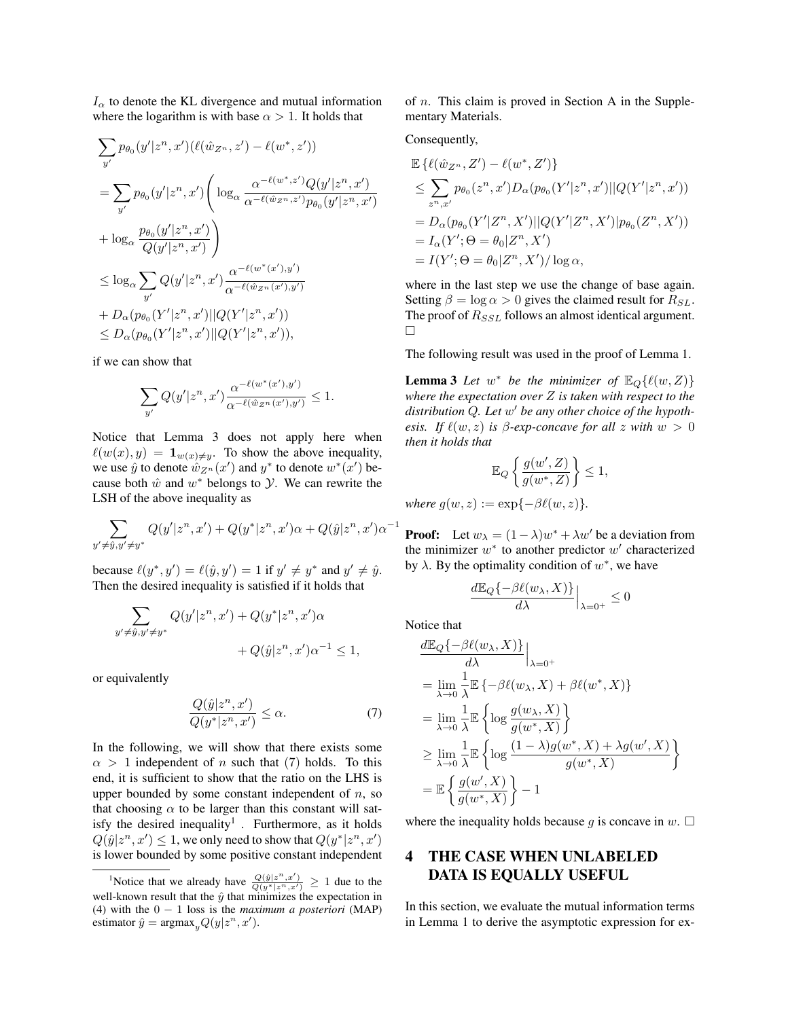$I_{\alpha}$  to denote the KL divergence and mutual information where the logarithm is with base  $\alpha > 1$ . It holds that

$$
\sum_{y'} p_{\theta_0}(y'|z^n, x') (\ell(\hat{w}_{Z^n}, z') - \ell(w^*, z'))
$$
\n
$$
= \sum_{y'} p_{\theta_0}(y'|z^n, x') \Bigg( \log_{\alpha} \frac{\alpha^{-\ell(w^*, z')} Q(y'|z^n, x')}{\alpha^{-\ell(\hat{w}_{Z^n}, z')} p_{\theta_0}(y'|z^n, x')}
$$
\n
$$
+ \log_{\alpha} \frac{p_{\theta_0}(y'|z^n, x')}{Q(y'|z^n, x')}\Bigg)
$$
\n
$$
\leq \log_{\alpha} \sum_{y'} Q(y'|z^n, x') \frac{\alpha^{-\ell(w^*(x'), y')}}{\alpha^{-\ell(\hat{w}_{Z^n}(x'), y')}}
$$
\n
$$
+ D_{\alpha}(p_{\theta_0}(Y'|z^n, x') || Q(Y'|z^n, x'))
$$
\n
$$
\leq D_{\alpha}(p_{\theta_0}(Y'|z^n, x') || Q(Y'|z^n, x'))
$$

if we can show that

$$
\sum_{y'} Q(y'|z^n, x') \frac{\alpha^{-\ell(w^*(x'), y')}}{\alpha^{-\ell(\hat{w}_{Z^n}(x'), y')}} \le 1.
$$

Notice that Lemma 3 does not apply here when  $\ell(w(x), y) = \mathbf{1}_{w(x) \neq y}$ . To show the above inequality, we use  $\hat{y}$  to denote  $\hat{w}_{Z^n}(x')$  and  $y^*$  to denote  $w^*(x')$  because both  $\hat{w}$  and  $w^*$  belongs to  $\hat{y}$ . We can rewrite the LSH of the above inequality as

$$
\sum_{y' \neq \hat{y}, y' \neq y^*} Q(y'|z^n, x') + Q(y^*|z^n, x')\alpha + Q(\hat{y}|z^n, x')\alpha^{-1}
$$

because  $\ell(y^*, y') = \ell(\hat{y}, y') = 1$  if  $y' \neq y^*$  and  $y' \neq \hat{y}$ . Then the desired inequality is satisfied if it holds that

$$
\sum_{y' \neq \hat{y}, y' \neq y^*} Q(y'|z^n, x') + Q(y^*|z^n, x')\alpha + Q(\hat{y}|z^n, x')\alpha^{-1} \le 1,
$$

or equivalently

$$
\frac{Q(\hat{y}|z^n, x')}{Q(y^*|z^n, x')} \le \alpha.
$$
\n(7)

In the following, we will show that there exists some  $\alpha > 1$  independent of n such that (7) holds. To this end, it is sufficient to show that the ratio on the LHS is upper bounded by some constant independent of  $n$ , so that choosing  $\alpha$  to be larger than this constant will satisfy the desired inequality<sup>1</sup>. Furthermore, as it holds  $Q(\hat{y}|z^n, x') \leq 1$ , we only need to show that  $Q(y^*|z^n, x')$ is lower bounded by some positive constant independent of n. This claim is proved in Section A in the Supplementary Materials.

Consequently,

$$
\mathbb{E}\left\{\ell(\hat{w}_{Z^n}, Z') - \ell(w^*, Z')\right\}
$$
\n
$$
\leq \sum_{z^n, x'} p_{\theta_0}(z^n, x') D_{\alpha}(p_{\theta_0}(Y'|z^n, x')||Q(Y'|z^n, x'))
$$
\n
$$
= D_{\alpha}(p_{\theta_0}(Y'|Z^n, X')||Q(Y'|Z^n, X')|p_{\theta_0}(Z^n, X'))
$$
\n
$$
= I_{\alpha}(Y'; \Theta = \theta_0|Z^n, X')
$$
\n
$$
= I(Y'; \Theta = \theta_0|Z^n, X')/ \log \alpha,
$$

where in the last step we use the change of base again. Setting  $\beta = \log \alpha > 0$  gives the claimed result for  $R_{SL}$ . The proof of  $R_{SSL}$  follows an almost identical argument.  $\Box$ 

The following result was used in the proof of Lemma 1.

**Lemma 3** Let  $w^*$  be the minimizer of  $\mathbb{E}_Q\{\ell(w, Z)\}\$ *where the expectation over* Z *is taken with respect to the* distribution Q. Let w' be any other choice of the hypoth*esis.* If  $\ell(w, z)$  *is*  $\beta$ *-exp-concave for all* z *with*  $w > 0$ *then it holds that*

$$
\mathbb{E}_Q\left\{\frac{g(w',Z)}{g(w^*,Z)}\right\} \le 1,
$$

*where*  $g(w, z) := \exp{-\beta \ell(w, z)}$ .

**Proof:** Let  $w_{\lambda} = (1 - \lambda)w^* + \lambda w'$  be a deviation from the minimizer  $w^*$  to another predictor  $w'$  characterized by  $\lambda$ . By the optimality condition of  $w^*$ , we have

$$
\left.\frac{d\mathbb{E}_Q\{-\beta \ell(w_\lambda,X)\}}{d\lambda}\right|_{\lambda=0^+}\leq 0
$$

Notice that

$$
\frac{d\mathbb{E}_{Q}\{-\beta\ell(w_{\lambda},X)\}}{d\lambda}\Big|_{\lambda=0^{+}}
$$
\n
$$
=\lim_{\lambda\to 0}\frac{1}{\lambda}\mathbb{E}\{-\beta\ell(w_{\lambda},X)+\beta\ell(w^*,X)\}
$$
\n
$$
=\lim_{\lambda\to 0}\frac{1}{\lambda}\mathbb{E}\left\{\log\frac{g(w_{\lambda},X)}{g(w^*,X)}\right\}
$$
\n
$$
\geq \lim_{\lambda\to 0}\frac{1}{\lambda}\mathbb{E}\left\{\log\frac{(1-\lambda)g(w^*,X)+\lambda g(w',X)}{g(w^*,X)}\right\}
$$
\n
$$
=\mathbb{E}\left\{\frac{g(w',X)}{g(w^*,X)}\right\}-1
$$

where the inequality holds because g is concave in  $w$ .  $\square$ 

# 4 THE CASE WHEN UNLABELED DATA IS EQUALLY USEFUL

In this section, we evaluate the mutual information terms in Lemma 1 to derive the asymptotic expression for ex-

<sup>&</sup>lt;sup>1</sup>Notice that we already have  $\frac{Q(\hat{y}|z^n,x')}{Q(y^*|z^n,x')} \geq 1$  due to the well-known result that the  $\hat{y}$  that minimizes the expectation in (4) with the 0 − 1 loss is the *maximum a posteriori* (MAP) estimator  $\hat{y} = \text{argmax}_y Q(y|z^n, x').$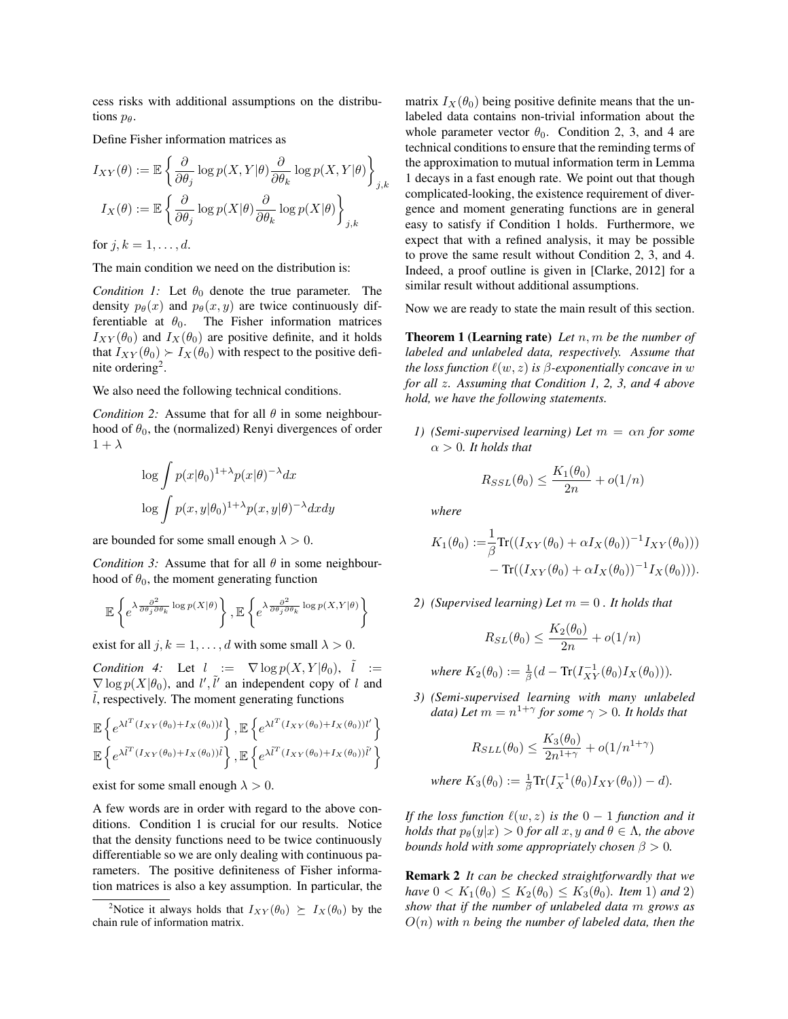cess risks with additional assumptions on the distributions  $p_\theta$ .

Define Fisher information matrices as

$$
I_{XY}(\theta) := \mathbb{E} \left\{ \frac{\partial}{\partial \theta_j} \log p(X, Y | \theta) \frac{\partial}{\partial \theta_k} \log p(X, Y | \theta) \right\}_{j,k}
$$

$$
I_X(\theta) := \mathbb{E} \left\{ \frac{\partial}{\partial \theta_j} \log p(X | \theta) \frac{\partial}{\partial \theta_k} \log p(X | \theta) \right\}_{j,k}
$$

for  $j, k = 1, ..., d$ .

The main condition we need on the distribution is:

*Condition 1:* Let  $\theta_0$  denote the true parameter. The density  $p_{\theta}(x)$  and  $p_{\theta}(x, y)$  are twice continuously differentiable at  $\theta_0$ . The Fisher information matrices  $I_{XY}(\theta_0)$  and  $I_X(\theta_0)$  are positive definite, and it holds that  $I_{XY}(\theta_0) \succ I_X(\theta_0)$  with respect to the positive definite ordering<sup>2</sup>.

We also need the following technical conditions.

*Condition 2:* Assume that for all  $\theta$  in some neighbourhood of  $\theta_0$ , the (normalized) Renyi divergences of order  $1 + \lambda$ 

$$
\log \int p(x|\theta_0)^{1+\lambda} p(x|\theta)^{-\lambda} dx
$$
  

$$
\log \int p(x, y|\theta_0)^{1+\lambda} p(x, y|\theta)^{-\lambda} dx dy
$$

are bounded for some small enough  $\lambda > 0$ .

*Condition 3:* Assume that for all  $\theta$  in some neighbourhood of  $\theta_0$ , the moment generating function

$$
\mathbb{E}\left\{e^{\lambda\frac{\partial^2}{\partial\theta_j\partial\theta_k}\log p(X|\theta)}\right\},\mathbb{E}\left\{e^{\lambda\frac{\partial^2}{\partial\theta_j\partial\theta_k}\log p(X,Y|\theta)}\right\}
$$

exist for all  $j, k = 1, \ldots, d$  with some small  $\lambda > 0$ .

*Condition 4:* Let  $l := \nabla \log p(X, Y | \theta_0)$ ,  $\tilde{l} :=$  $\nabla$  log  $p(X|\theta_0)$ , and l',  $\tilde{l}'$  an independent copy of l and  $l$ , respectively. The moment generating functions

$$
\mathbb{E}\left\{e^{\lambda l^{T}\left(I_{XY}(\theta_{0})+I_{X}(\theta_{0})\right)l}\right\},\mathbb{E}\left\{e^{\lambda l^{T}\left(I_{XY}(\theta_{0})+I_{X}(\theta_{0})\right)l'}\right\}
$$
\n
$$
\mathbb{E}\left\{e^{\lambda\tilde{l}^{T}\left(I_{XY}(\theta_{0})+I_{X}(\theta_{0})\right)\tilde{l}}\right\},\mathbb{E}\left\{e^{\lambda\tilde{l}^{T}\left(I_{XY}(\theta_{0})+I_{X}(\theta_{0})\right)\tilde{l}'}\right\}
$$

exist for some small enough  $\lambda > 0$ .

A few words are in order with regard to the above conditions. Condition 1 is crucial for our results. Notice that the density functions need to be twice continuously differentiable so we are only dealing with continuous parameters. The positive definiteness of Fisher information matrices is also a key assumption. In particular, the matrix  $I_X(\theta_0)$  being positive definite means that the unlabeled data contains non-trivial information about the whole parameter vector  $\theta_0$ . Condition 2, 3, and 4 are technical conditions to ensure that the reminding terms of the approximation to mutual information term in Lemma 1 decays in a fast enough rate. We point out that though complicated-looking, the existence requirement of divergence and moment generating functions are in general easy to satisfy if Condition 1 holds. Furthermore, we expect that with a refined analysis, it may be possible to prove the same result without Condition 2, 3, and 4. Indeed, a proof outline is given in [Clarke, 2012] for a similar result without additional assumptions.

Now we are ready to state the main result of this section.

Theorem 1 (Learning rate) *Let* n, m *be the number of labeled and unlabeled data, respectively. Assume that the loss function*  $\ell(w, z)$  *is*  $\beta$ *-exponentially concave in* w *for all* z*. Assuming that Condition 1, 2, 3, and 4 above hold, we have the following statements.*

*1) (Semi-supervised learning) Let* m = αn *for some*  $\alpha > 0$ *. It holds that* 

$$
R_{SSL}(\theta_0) \le \frac{K_1(\theta_0)}{2n} + o(1/n)
$$

*where*

$$
K_1(\theta_0) := \frac{1}{\beta} \text{Tr}((I_{XY}(\theta_0) + \alpha I_X(\theta_0))^{-1} I_{XY}(\theta_0))) - \text{Tr}((I_{XY}(\theta_0) + \alpha I_X(\theta_0))^{-1} I_X(\theta_0))).
$$

*2) (Supervised learning) Let* m = 0 *. It holds that*

$$
R_{SL}(\theta_0) \le \frac{K_2(\theta_0)}{2n} + o(1/n)
$$

*where*  $K_2(\theta_0) := \frac{1}{\beta} (d - \text{Tr}(I_{XY}^{-1}(\theta_0)I_X(\theta_0))).$ 

*3) (Semi-supervised learning with many unlabeled* data) Let  $m = n^{1+\gamma}$  for some  $\gamma > 0$ . It holds that

$$
R_{SLL}(\theta_0) \le \frac{K_3(\theta_0)}{2n^{1+\gamma}} + o(1/n^{1+\gamma})
$$
  
where  $K_3(\theta_0) := \frac{1}{\beta} \text{Tr}(I_X^{-1}(\theta_0)I_{XY}(\theta_0)) - d).$ 

*If the loss function*  $\ell(w, z)$  *is the*  $0 - 1$  *function and it holds that*  $p_{\theta}(y|x) > 0$  *for all*  $x, y$  *and*  $\theta \in \Lambda$ *, the above bounds hold with some appropriately chosen*  $\beta > 0$ *.* 

Remark 2 *It can be checked straightforwardly that we have*  $0 < K_1(\theta_0) \le K_2(\theta_0) \le K_3(\theta_0)$ *. Item* 1) *and* 2) *show that if the number of unlabeled data* m *grows as* O(n) *with* n *being the number of labeled data, then the*

<sup>&</sup>lt;sup>2</sup>Notice it always holds that  $I_{XY}(\theta_0) \succeq I_X(\theta_0)$  by the chain rule of information matrix.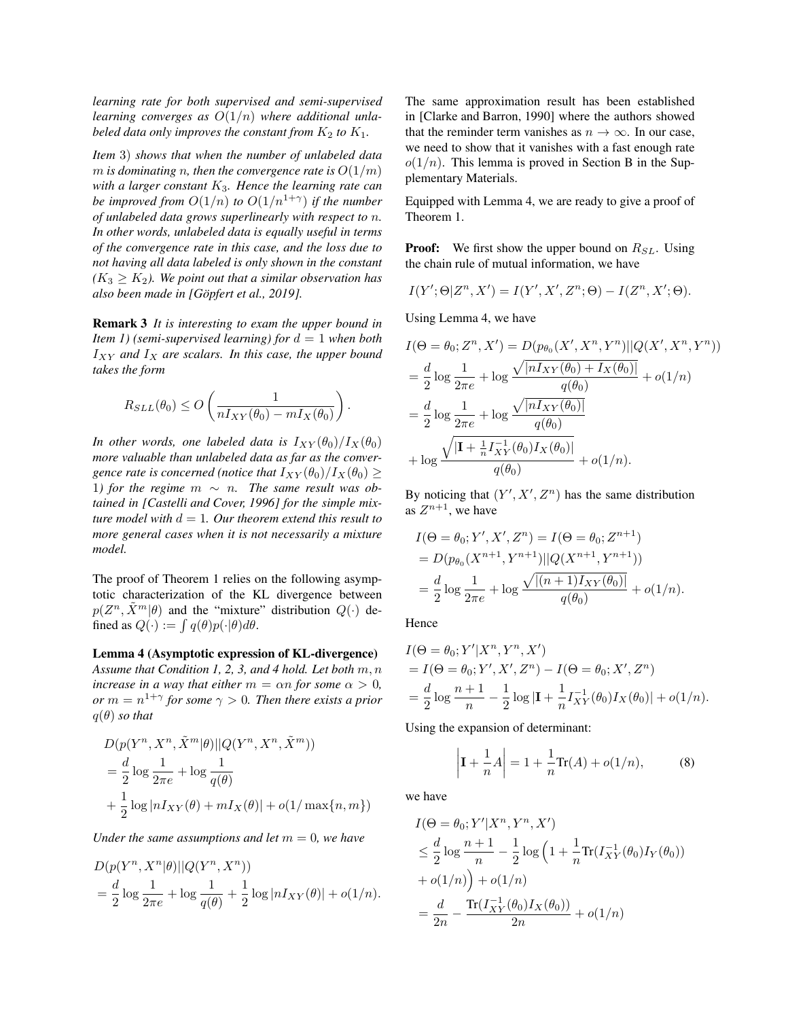*learning rate for both supervised and semi-supervised learning converges as* O(1/n) *where additional unlabeled data only improves the constant from*  $K_2$  *to*  $K_1$ *.* 

*Item* 3) *shows that when the number of unlabeled data m* is dominating *n*, then the convergence rate is  $O(1/m)$ *with a larger constant* K3*. Hence the learning rate can be improved from*  $O(1/n)$  *to*  $O(1/n^{1+\gamma})$  *if the number of unlabeled data grows superlinearly with respect to* n*. In other words, unlabeled data is equally useful in terms of the convergence rate in this case, and the loss due to not having all data labeled is only shown in the constant*  $(K_3 \geq K_2)$ . We point out that a similar observation has *also been made in [Gopfert et al., 2019]. ¨*

Remark 3 *It is interesting to exam the upper bound in Item 1)* (semi-supervised learning) for  $d = 1$  when both  $I_{XY}$  and  $I_X$  are scalars. In this case, the upper bound *takes the form*

$$
R_{SLL}(\theta_0) \leq O\left(\frac{1}{nI_{XY}(\theta_0) - mI_X(\theta_0)}\right).
$$

*In other words, one labeled data is*  $I_{XY}(\theta_0)/I_X(\theta_0)$ *more valuable than unlabeled data as far as the convergence rate is concerned (notice that*  $I_{XY}(\theta_0)/I_X(\theta_0) \geq$ 1) for the regime  $m \sim n$ . The same result was ob*tained in [Castelli and Cover, 1996] for the simple mixture model with*  $d = 1$ *. Our theorem extend this result to more general cases when it is not necessarily a mixture model.*

The proof of Theorem 1 relies on the following asymptotic characterization of the KL divergence between  $p(Z^n, \tilde{X}^m | \theta)$  and the "mixture" distribution  $Q(\cdot)$  defined as  $Q(\cdot) := \int q(\theta) p(\cdot | \theta) d\theta$ .

Lemma 4 (Asymptotic expression of KL-divergence) *Assume that Condition 1, 2, 3, and 4 hold. Let both* m, n *increase in a way that either*  $m = \alpha n$  *for some*  $\alpha > 0$ *,*  $or m = n^{1+\gamma}$  for some  $\gamma > 0$ . Then there exists a prior  $q(\theta)$  *so that* 

$$
D(p(Y^n, X^n, \tilde{X}^m | \theta) || Q(Y^n, X^n, \tilde{X}^m))
$$
  
=  $\frac{d}{2} \log \frac{1}{2\pi e} + \log \frac{1}{q(\theta)}$   
+  $\frac{1}{2} \log |nI_{XY}(\theta) + mI_X(\theta)| + o(1/\max{n, m})$ 

*Under the same assumptions and let*  $m = 0$ *, we have* 

$$
D(p(Y^n, X^n | \theta) || Q(Y^n, X^n))
$$
  
=  $\frac{d}{2} \log \frac{1}{2\pi e} + \log \frac{1}{q(\theta)} + \frac{1}{2} \log |nI_{XY}(\theta)| + o(1/n).$ 

The same approximation result has been established in [Clarke and Barron, 1990] where the authors showed that the reminder term vanishes as  $n \to \infty$ . In our case, we need to show that it vanishes with a fast enough rate  $o(1/n)$ . This lemma is proved in Section B in the Supplementary Materials.

Equipped with Lemma 4, we are ready to give a proof of Theorem 1.

**Proof:** We first show the upper bound on  $R_{SL}$ . Using the chain rule of mutual information, we have

$$
I(Y';\Theta|Z^n,X') = I(Y',X',Z^n;\Theta) - I(Z^n,X';\Theta).
$$

Using Lemma 4, we have

$$
I(\Theta = \theta_0; Z^n, X') = D(p_{\theta_0}(X', X^n, Y^n) || Q(X', X^n, Y^n))
$$
  
=  $\frac{d}{2} \log \frac{1}{2\pi e} + \log \frac{\sqrt{|nI_{XY}(\theta_0) + I_X(\theta_0)|}}{q(\theta_0)} + o(1/n)$   
=  $\frac{d}{2} \log \frac{1}{2\pi e} + \log \frac{\sqrt{|nI_{XY}(\theta_0)|}}{q(\theta_0)}$   
+  $\log \frac{\sqrt{|\mathbf{I} + \frac{1}{n}I_{XY}^{-1}(\theta_0)I_X(\theta_0)|}}{q(\theta_0)} + o(1/n).$ 

By noticing that  $(Y', X', Z^n)$  has the same distribution as  $Z^{n+1}$ , we have

$$
I(\Theta = \theta_0; Y', X', Z^n) = I(\Theta = \theta_0; Z^{n+1})
$$
  
=  $D(p_{\theta_0}(X^{n+1}, Y^{n+1})||Q(X^{n+1}, Y^{n+1}))$   
=  $\frac{d}{2} \log \frac{1}{2\pi e} + \log \frac{\sqrt{[(n+1)I_{XY}(\theta_0)]}}{q(\theta_0)} + o(1/n).$ 

Hence

$$
I(\Theta = \theta_0; Y'|X^n, Y^n, X')
$$
  
=  $I(\Theta = \theta_0; Y', X', Z^n) - I(\Theta = \theta_0; X', Z^n)$   
=  $\frac{d}{2} \log \frac{n+1}{n} - \frac{1}{2} \log |\mathbf{I} + \frac{1}{n} I_{XY}^{-1}(\theta_0) I_X(\theta_0)| + o(1/n).$ 

Using the expansion of determinant:

$$
\left| \mathbf{I} + \frac{1}{n} A \right| = 1 + \frac{1}{n} \text{Tr}(A) + o(1/n), \tag{8}
$$

we have

$$
I(\Theta = \theta_0; Y'|X^n, Y^n, X')
$$
  
\n
$$
\leq \frac{d}{2} \log \frac{n+1}{n} - \frac{1}{2} \log \left( 1 + \frac{1}{n} \text{Tr}(I_{XY}^{-1}(\theta_0) I_Y(\theta_0)) + o(1/n) \right)
$$
  
\n
$$
+ o(1/n) + o(1/n)
$$
  
\n
$$
= \frac{d}{2n} - \frac{\text{Tr}(I_{XY}^{-1}(\theta_0) I_X(\theta_0))}{2n} + o(1/n)
$$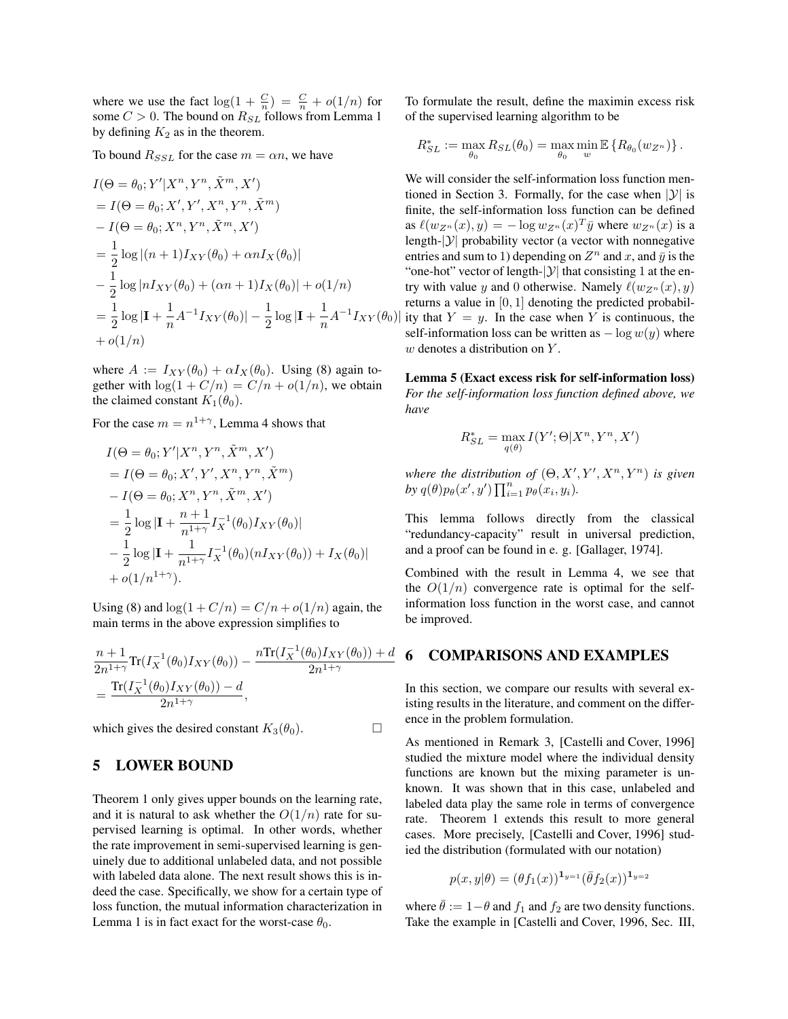where we use the fact  $\log(1 + \frac{C}{n}) = \frac{C}{n} + o(1/n)$  for some  $C > 0$ . The bound on  $R_{SL}$  follows from Lemma 1 by defining  $K_2$  as in the theorem.

To bound  $R_{SSL}$  for the case  $m = \alpha n$ , we have

$$
I(\Theta = \theta_0; Y'|X^n, Y^n, \tilde{X}^m, X')
$$
  
=  $I(\Theta = \theta_0; X', Y', X^n, Y^n, \tilde{X}^m)$   
 $- I(\Theta = \theta_0; X^n, Y^n, \tilde{X}^m, X')$   
=  $\frac{1}{2} \log |(n+1)I_{XY}(\theta_0) + \alpha n I_X(\theta_0)|$   
 $- \frac{1}{2} \log |n I_{XY}(\theta_0) + (\alpha n + 1)I_X(\theta_0)| + o(1/n)$   
=  $\frac{1}{2} \log |\mathbf{I} + \frac{1}{n} A^{-1} I_{XY}(\theta_0)| - \frac{1}{2} \log |\mathbf{I} + \frac{1}{n} A^{-1} I_{XY}(\theta_0)$   
+  $o(1/n)$ 

where  $A := I_{XY}(\theta_0) + \alpha I_X(\theta_0)$ . Using (8) again together with  $\log(1 + C/n) = C/n + o(1/n)$ , we obtain the claimed constant  $K_1(\theta_0)$ .

For the case  $m = n^{1+\gamma}$ , Lemma 4 shows that

$$
I(\Theta = \theta_0; Y'|X^n, Y^n, \tilde{X}^m, X')
$$
  
=  $I(\Theta = \theta_0; X', Y', X^n, Y^n, \tilde{X}^m)$   
 $- I(\Theta = \theta_0; X^n, Y^n, \tilde{X}^m, X')$   
=  $\frac{1}{2} \log |\mathbf{I} + \frac{n+1}{n^{1+\gamma}} I_X^{-1}(\theta_0) I_{XY}(\theta_0)|$   
 $- \frac{1}{2} \log |\mathbf{I} + \frac{1}{n^{1+\gamma}} I_X^{-1}(\theta_0) (n I_{XY}(\theta_0)) + I_X(\theta_0)|$   
+  $o(1/n^{1+\gamma}).$ 

Using (8) and  $\log(1 + C/n) = C/n + o(1/n)$  again, the main terms in the above expression simplifies to

$$
\frac{n+1}{2n^{1+\gamma}} \text{Tr}(I_X^{-1}(\theta_0) I_{XY}(\theta_0)) - \frac{n \text{Tr}(I_X^{-1}(\theta_0) I_{XY}(\theta_0)) + d}{2n^{1+\gamma}} \n= \frac{\text{Tr}(I_X^{-1}(\theta_0) I_{XY}(\theta_0)) - d}{2n^{1+\gamma}},
$$

which gives the desired constant  $K_3(\theta_0)$ .

### 5 LOWER BOUND

Theorem 1 only gives upper bounds on the learning rate, and it is natural to ask whether the  $O(1/n)$  rate for supervised learning is optimal. In other words, whether the rate improvement in semi-supervised learning is genuinely due to additional unlabeled data, and not possible with labeled data alone. The next result shows this is indeed the case. Specifically, we show for a certain type of loss function, the mutual information characterization in Lemma 1 is in fact exact for the worst-case  $\theta_0$ .

To formulate the result, define the maximin excess risk of the supervised learning algorithm to be

$$
R_{SL}^* := \max_{\theta_0} R_{SL}(\theta_0) = \max_{\theta_0} \min_w \mathbb{E} \left\{ R_{\theta_0}(w_{Z^n}) \right\}.
$$

 $I_{XY}(\theta_0)$  ity that  $Y = y$ . In the case when Y is continuous, the We will consider the self-information loss function mentioned in Section 3. Formally, for the case when  $|y|$  is finite, the self-information loss function can be defined as  $\ell(w_{Z^n}(x), y) = -\log w_{Z^n}(x)^T \bar{y}$  where  $w_{Z^n}(x)$  is a length- $|y|$  probability vector (a vector with nonnegative entries and sum to 1) depending on  $Z^n$  and x, and  $\bar{y}$  is the "one-hot" vector of length- $|y|$  that consisting 1 at the entry with value y and 0 otherwise. Namely  $\ell(w_{Z_n}(x), y)$ returns a value in [0, 1] denoting the predicted probabilself-information loss can be written as  $-\log w(y)$  where  $w$  denotes a distribution on  $Y$ .

> Lemma 5 (Exact excess risk for self-information loss) *For the self-information loss function defined above, we have*

$$
R_{SL}^* = \max_{q(\theta)} I(Y'; \Theta | X^n, Y^n, X')
$$

where the distribution of  $(\Theta, X', Y', X^n, Y^n)$  is given by  $q(\theta)p_{\theta}(x', y')\prod_{i=1}^n p_{\theta}(x_i, y_i)$ .

This lemma follows directly from the classical "redundancy-capacity" result in universal prediction, and a proof can be found in e. g. [Gallager, 1974].

Combined with the result in Lemma 4, we see that the  $O(1/n)$  convergence rate is optimal for the selfinformation loss function in the worst case, and cannot be improved.

# $d$  6 COMPARISONS AND EXAMPLES

In this section, we compare our results with several existing results in the literature, and comment on the difference in the problem formulation.

As mentioned in Remark 3, [Castelli and Cover, 1996] studied the mixture model where the individual density functions are known but the mixing parameter is unknown. It was shown that in this case, unlabeled and labeled data play the same role in terms of convergence rate. Theorem 1 extends this result to more general cases. More precisely, [Castelli and Cover, 1996] studied the distribution (formulated with our notation)

$$
p(x,y|\theta) = (\theta f_1(x))^{1_{y=1}} (\bar{\theta} f_2(x))^{1_{y=2}}
$$

where  $\bar{\theta} := 1 - \theta$  and  $f_1$  and  $f_2$  are two density functions. Take the example in [Castelli and Cover, 1996, Sec. III,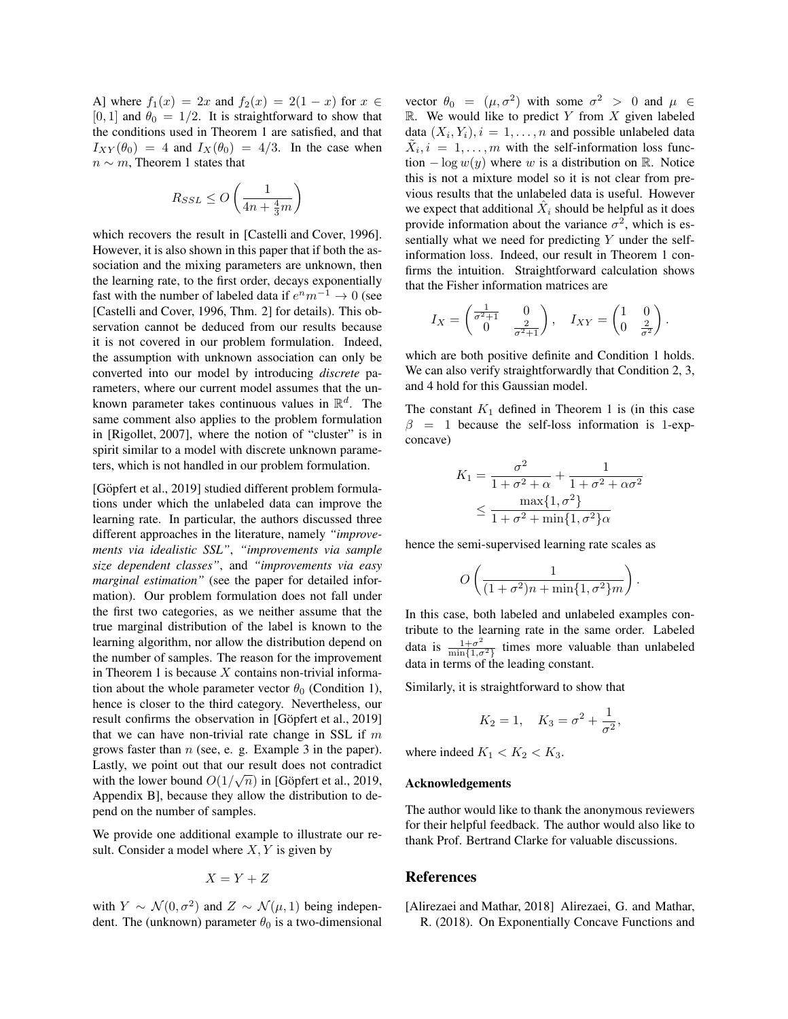A] where  $f_1(x) = 2x$  and  $f_2(x) = 2(1-x)$  for  $x \in$ [0, 1] and  $\theta_0 = 1/2$ . It is straightforward to show that the conditions used in Theorem 1 are satisfied, and that  $I_{XY}(\theta_0) = 4$  and  $I_X(\theta_0) = 4/3$ . In the case when  $n \sim m$ , Theorem 1 states that

$$
R_{SSL} \le O\left(\frac{1}{4n + \frac{4}{3}m}\right)
$$

which recovers the result in [Castelli and Cover, 1996]. However, it is also shown in this paper that if both the association and the mixing parameters are unknown, then the learning rate, to the first order, decays exponentially fast with the number of labeled data if  $e^n m^{-1} \to 0$  (see [Castelli and Cover, 1996, Thm. 2] for details). This observation cannot be deduced from our results because it is not covered in our problem formulation. Indeed, the assumption with unknown association can only be converted into our model by introducing *discrete* parameters, where our current model assumes that the unknown parameter takes continuous values in  $\mathbb{R}^d$ . The same comment also applies to the problem formulation in [Rigollet, 2007], where the notion of "cluster" is in spirit similar to a model with discrete unknown parameters, which is not handled in our problem formulation.

[Göpfert et al., 2019] studied different problem formulations under which the unlabeled data can improve the learning rate. In particular, the authors discussed three different approaches in the literature, namely *"improvements via idealistic SSL"*, *"improvements via sample size dependent classes"*, and *"improvements via easy marginal estimation"* (see the paper for detailed information). Our problem formulation does not fall under the first two categories, as we neither assume that the true marginal distribution of the label is known to the learning algorithm, nor allow the distribution depend on the number of samples. The reason for the improvement in Theorem 1 is because  $X$  contains non-trivial information about the whole parameter vector  $\theta_0$  (Condition 1), hence is closer to the third category. Nevertheless, our result confirms the observation in [Göpfert et al., 2019] that we can have non-trivial rate change in SSL if  $m$ grows faster than  $n$  (see, e. g. Example 3 in the paper). Lastly, we point out that our result does not contradict with the lower bound  $O(1/\sqrt{n})$  in [Göpfert et al., 2019, Appendix B], because they allow the distribution to depend on the number of samples.

We provide one additional example to illustrate our result. Consider a model where  $X, Y$  is given by

$$
X = Y + Z
$$

with  $Y \sim \mathcal{N}(0, \sigma^2)$  and  $Z \sim \mathcal{N}(\mu, 1)$  being independent. The (unknown) parameter  $\theta_0$  is a two-dimensional

vector  $\theta_0 = (\mu, \sigma^2)$  with some  $\sigma^2 > 0$  and  $\mu \in$  $\mathbb{R}$ . We would like to predict Y from X given labeled data  $(X_i, Y_i), i = 1, \ldots, n$  and possible unlabeled data  $\tilde{X}_i, i = 1, \ldots, m$  with the self-information loss function  $-\log w(y)$  where w is a distribution on R. Notice this is not a mixture model so it is not clear from previous results that the unlabeled data is useful. However we expect that additional  $\hat{X}_i$  should be helpful as it does provide information about the variance  $\sigma^2$ , which is essentially what we need for predicting  $Y$  under the selfinformation loss. Indeed, our result in Theorem 1 confirms the intuition. Straightforward calculation shows that the Fisher information matrices are

$$
I_X = \begin{pmatrix} \frac{1}{\sigma^2 + 1} & 0\\ 0 & \frac{2}{\sigma^2 + 1} \end{pmatrix}, \quad I_{XY} = \begin{pmatrix} 1 & 0\\ 0 & \frac{2}{\sigma^2} \end{pmatrix}.
$$

which are both positive definite and Condition 1 holds. We can also verify straightforwardly that Condition 2, 3, and 4 hold for this Gaussian model.

The constant  $K_1$  defined in Theorem 1 is (in this case  $\beta = 1$  because the self-loss information is 1-expconcave)

$$
K_1 = \frac{\sigma^2}{1 + \sigma^2 + \alpha} + \frac{1}{1 + \sigma^2 + \alpha \sigma^2}
$$

$$
\leq \frac{\max\{1, \sigma^2\}}{1 + \sigma^2 + \min\{1, \sigma^2\}\alpha}
$$

hence the semi-supervised learning rate scales as

$$
O\left(\frac{1}{(1+\sigma^2)n + \min\{1,\sigma^2\}m}\right)
$$

.

In this case, both labeled and unlabeled examples contribute to the learning rate in the same order. Labeled data is  $\frac{1+\sigma^2}{\min\{1,\sigma^2\}}$  $\frac{1+\sigma^2}{\min\{1,\sigma^2\}}$  times more valuable than unlabeled data in terms of the leading constant.

Similarly, it is straightforward to show that

$$
K_2 = 1
$$
,  $K_3 = \sigma^2 + \frac{1}{\sigma^2}$ ,

where indeed  $K_1 < K_2 < K_3$ .

#### Acknowledgements

The author would like to thank the anonymous reviewers for their helpful feedback. The author would also like to thank Prof. Bertrand Clarke for valuable discussions.

### References

[Alirezaei and Mathar, 2018] Alirezaei, G. and Mathar, R. (2018). On Exponentially Concave Functions and